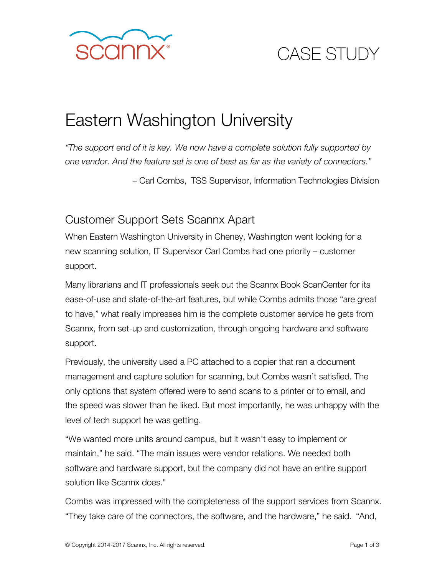

# CASE STUDY

## Eastern Washington University

*"The support end of it is key. We now have a complete solution fully supported by one vendor. And the feature set is one of best as far as the variety of connectors."*

– Carl Combs, TSS Supervisor, Information Technologies Division

#### Customer Support Sets Scannx Apart

When Eastern Washington University in Cheney, Washington went looking for a new scanning solution, IT Supervisor Carl Combs had one priority – customer support.

Many librarians and IT professionals seek out the Scannx Book ScanCenter for its ease-of-use and state-of-the-art features, but while Combs admits those "are great to have," what really impresses him is the complete customer service he gets from Scannx, from set-up and customization, through ongoing hardware and software support.

Previously, the university used a PC attached to a copier that ran a document management and capture solution for scanning, but Combs wasn't satisfied. The only options that system offered were to send scans to a printer or to email, and the speed was slower than he liked. But most importantly, he was unhappy with the level of tech support he was getting.

"We wanted more units around campus, but it wasn't easy to implement or maintain," he said. "The main issues were vendor relations. We needed both software and hardware support, but the company did not have an entire support solution like Scannx does."

Combs was impressed with the completeness of the support services from Scannx. "They take care of the connectors, the software, and the hardware," he said. "And,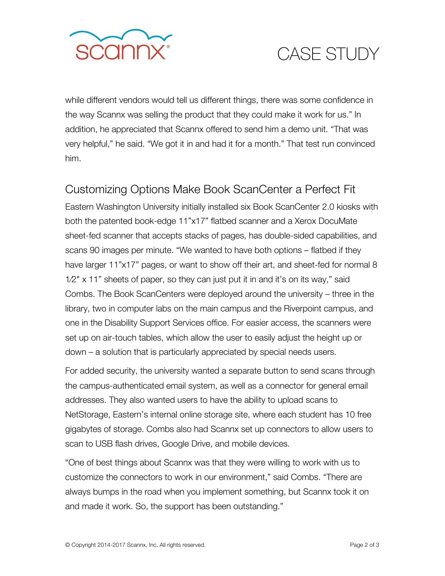

## CASE STUDY

while different vendors would tell us different things, there was some confidence in the way Scannx was selling the product that they could make it work for us." In addition, he appreciated that Scannx offered to send him a demo unit. "That was very helpful," he said. "We got it in and had it for a month." That test run convinced him.

#### Customizing Options Make Book ScanCenter a Perfect Fit

Eastern Washington University initially installed six Book ScanCenter 2.0 kiosks with both the patented book-edge 11"x17" flatbed scanner and a Xerox DocuMate sheet-fed scanner that accepts stacks of pages, has double-sided capabilities, and scans 90 images per minute. "We wanted to have both options – flatbed if they have larger 11"x17" pages, or want to show off their art, and sheet-fed for normal 8 1⁄2" x 11" sheets of paper, so they can just put it in and it's on its way," said Combs. The Book ScanCenters were deployed around the university – three in the library, two in computer labs on the main campus and the Riverpoint campus, and one in the Disability Support Services office. For easier access, the scanners were set up on air-touch tables, which allow the user to easily adjust the height up or down – a solution that is particularly appreciated by special needs users.

For added security, the university wanted a separate button to send scans through the campus-authenticated email system, as well as a connector for general email addresses. They also wanted users to have the ability to upload scans to NetStorage, Eastern's internal online storage site, where each student has 10 free gigabytes of storage. Combs also had Scannx set up connectors to allow users to scan to USB flash drives, Google Drive, and mobile devices.

"One of best things about Scannx was that they were willing to work with us to customize the connectors to work in our environment," said Combs. "There are always bumps in the road when you implement something, but Scannx took it on and made it work. So, the support has been outstanding."